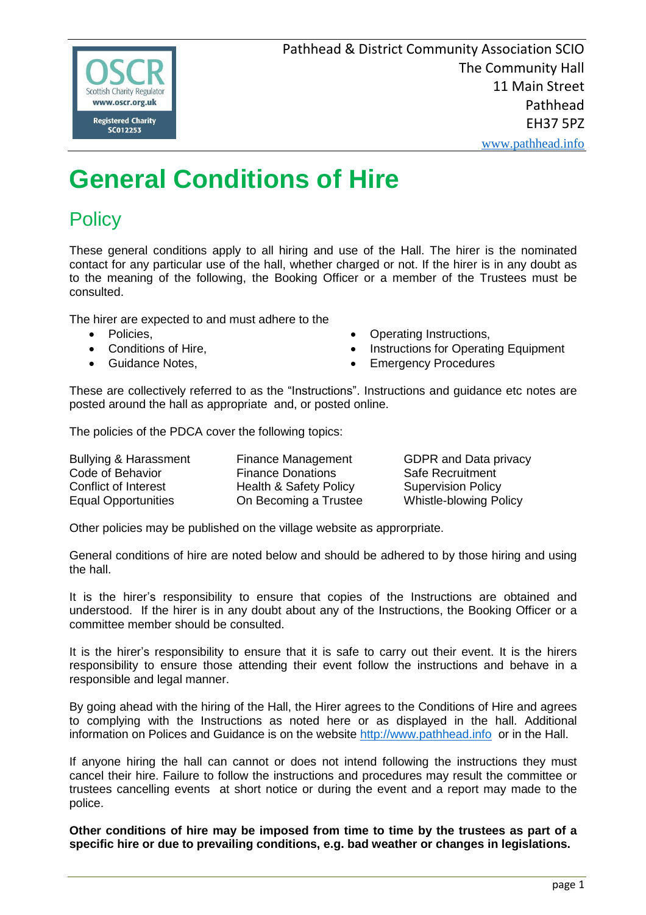

www.pathhead.info

# **General Conditions of Hire**

# **Policy**

These general conditions apply to all hiring and use of the Hall. The hirer is the nominated contact for any particular use of the hall, whether charged or not. If the hirer is in any doubt as to the meaning of the following, the Booking Officer or a member of the Trustees must be consulted.

The hirer are expected to and must adhere to the

- Policies.
- Conditions of Hire,
- Guidance Notes,
- Operating Instructions,
- Instructions for Operating Equipment
- Emergency Procedures

These are collectively referred to as the "Instructions". Instructions and guidance etc notes are posted around the hall as appropriate and, or posted online.

The policies of the PDCA cover the following topics:

| <b>Bullying &amp; Harassment</b> | Finance Management                |
|----------------------------------|-----------------------------------|
| Code of Behavior                 | <b>Finance Donations</b>          |
| Conflict of Interest             | <b>Health &amp; Safety Policy</b> |
| <b>Equal Opportunities</b>       | On Becoming a Trustee             |

GDPR and Data privacy Safe Recruitment **Supervision Policy Whistle-blowing Policy** 

Other policies may be published on the village website as approrpriate.

General conditions of hire are noted below and should be adhered to by those hiring and using the hall.

It is the hirer's responsibility to ensure that copies of the Instructions are obtained and understood. If the hirer is in any doubt about any of the Instructions, the Booking Officer or a committee member should be consulted.

It is the hirer's responsibility to ensure that it is safe to carry out their event. It is the hirers responsibility to ensure those attending their event follow the instructions and behave in a responsible and legal manner.

By going ahead with the hiring of the Hall, the Hirer agrees to the Conditions of Hire and agrees to complying with the Instructions as noted here or as displayed in the hall. Additional information on Polices and Guidance is on the website http://www.pathhead.info or in the Hall.

If anyone hiring the hall can cannot or does not intend following the instructions they must cancel their hire. Failure to follow the instructions and procedures may result the committee or trustees cancelling events at short notice or during the event and a report may made to the police.

**Other conditions of hire may be imposed from time to time by the trustees as part of a specific hire or due to prevailing conditions, e.g. bad weather or changes in legislations.**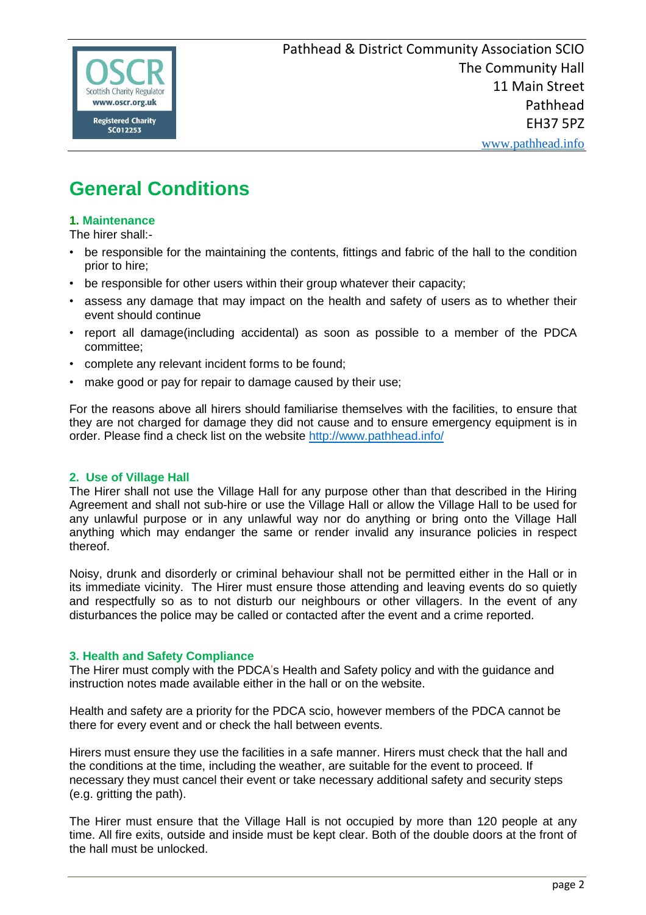

# **General Conditions**

# **1. Maintenance**

The hirer shall:-

- be responsible for the maintaining the contents, fittings and fabric of the hall to the condition prior to hire;
- be responsible for other users within their group whatever their capacity;
- assess any damage that may impact on the health and safety of users as to whether their event should continue
- report all damage(including accidental) as soon as possible to a member of the PDCA committee;
- complete any relevant incident forms to be found;
- make good or pay for repair to damage caused by their use;

For the reasons above all hirers should familiarise themselves with the facilities, to ensure that they are not charged for damage they did not cause and to ensure emergency equipment is in order. Please find a check list on the website http://www.pathhead.info/

## **2. Use of Village Hall**

The Hirer shall not use the Village Hall for any purpose other than that described in the Hiring Agreement and shall not sub-hire or use the Village Hall or allow the Village Hall to be used for any unlawful purpose or in any unlawful way nor do anything or bring onto the Village Hall anything which may endanger the same or render invalid any insurance policies in respect thereof.

Noisy, drunk and disorderly or criminal behaviour shall not be permitted either in the Hall or in its immediate vicinity. The Hirer must ensure those attending and leaving events do so quietly and respectfully so as to not disturb our neighbours or other villagers. In the event of any disturbances the police may be called or contacted after the event and a crime reported.

## **3. Health and Safety Compliance**

The Hirer must comply with the PDCA's Health and Safety policy and with the guidance and instruction notes made available either in the hall or on the website.

Health and safety are a priority for the PDCA scio, however members of the PDCA cannot be there for every event and or check the hall between events.

Hirers must ensure they use the facilities in a safe manner. Hirers must check that the hall and the conditions at the time, including the weather, are suitable for the event to proceed. If necessary they must cancel their event or take necessary additional safety and security steps (e.g. gritting the path).

The Hirer must ensure that the Village Hall is not occupied by more than 120 people at any time. All fire exits, outside and inside must be kept clear. Both of the double doors at the front of the hall must be unlocked.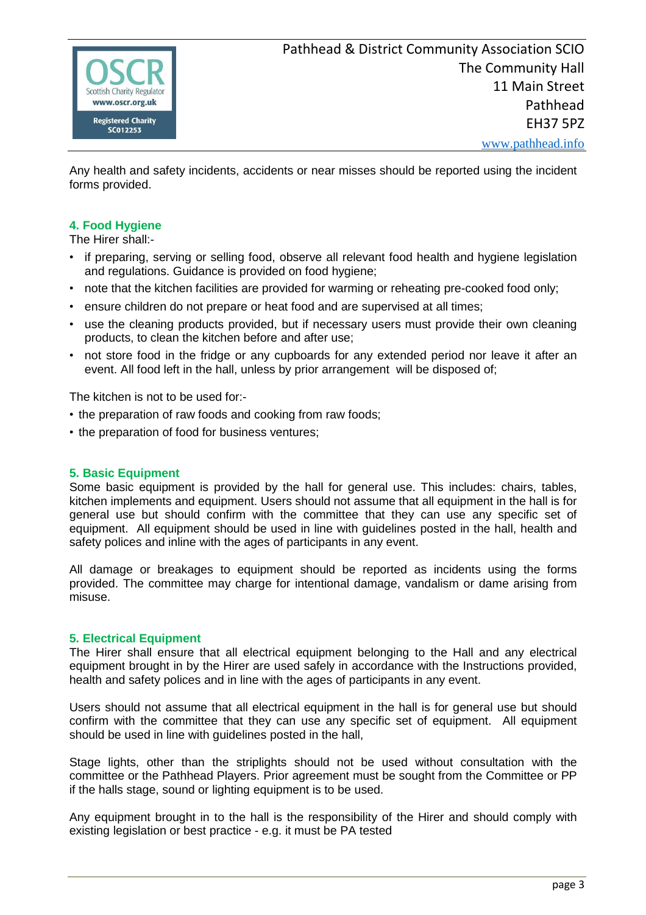

Any health and safety incidents, accidents or near misses should be reported using the incident forms provided.

## **4. Food Hygiene**

The Hirer shall:-

- if preparing, serving or selling food, observe all relevant food health and hygiene legislation and regulations. Guidance is provided on food hygiene;
- note that the kitchen facilities are provided for warming or reheating pre-cooked food only:
- ensure children do not prepare or heat food and are supervised at all times;
- use the cleaning products provided, but if necessary users must provide their own cleaning products, to clean the kitchen before and after use;
- not store food in the fridge or any cupboards for any extended period nor leave it after an event. All food left in the hall, unless by prior arrangement will be disposed of;

The kitchen is not to be used for:-

- the preparation of raw foods and cooking from raw foods;
- the preparation of food for business ventures;

#### **5. Basic Equipment**

Some basic equipment is provided by the hall for general use. This includes: chairs, tables, kitchen implements and equipment. Users should not assume that all equipment in the hall is for general use but should confirm with the committee that they can use any specific set of equipment. All equipment should be used in line with guidelines posted in the hall, health and safety polices and inline with the ages of participants in any event.

All damage or breakages to equipment should be reported as incidents using the forms provided. The committee may charge for intentional damage, vandalism or dame arising from misuse.

#### **5. Electrical Equipment**

The Hirer shall ensure that all electrical equipment belonging to the Hall and any electrical equipment brought in by the Hirer are used safely in accordance with the Instructions provided, health and safety polices and in line with the ages of participants in any event.

Users should not assume that all electrical equipment in the hall is for general use but should confirm with the committee that they can use any specific set of equipment. All equipment should be used in line with guidelines posted in the hall,

Stage lights, other than the striplights should not be used without consultation with the committee or the Pathhead Players. Prior agreement must be sought from the Committee or PP if the halls stage, sound or lighting equipment is to be used.

Any equipment brought in to the hall is the responsibility of the Hirer and should comply with existing legislation or best practice - e.g. it must be PA tested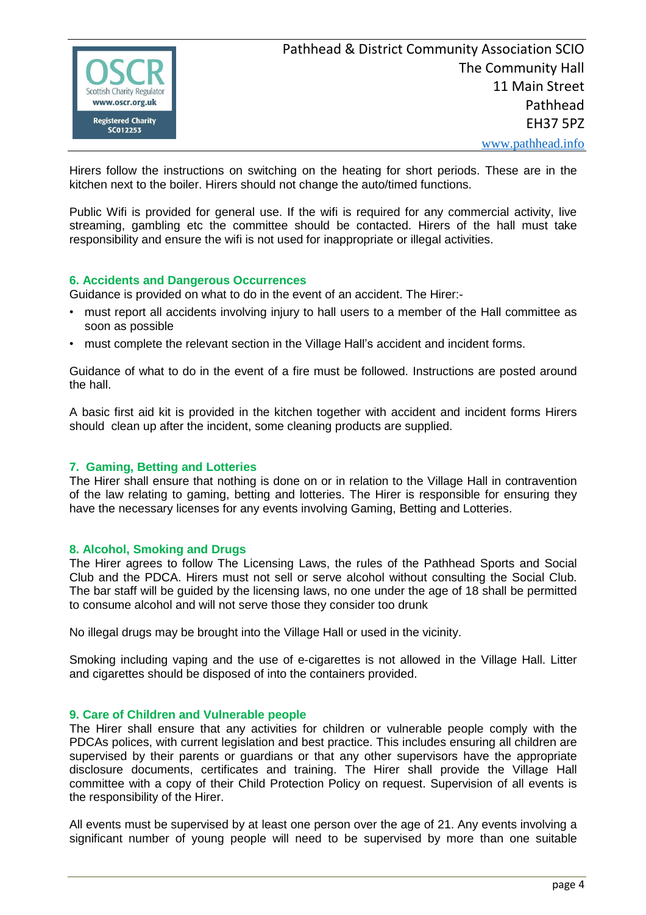

Hirers follow the instructions on switching on the heating for short periods. These are in the kitchen next to the boiler. Hirers should not change the auto/timed functions.

Public Wifi is provided for general use. If the wifi is required for any commercial activity, live streaming, gambling etc the committee should be contacted. Hirers of the hall must take responsibility and ensure the wifi is not used for inappropriate or illegal activities.

## **6. Accidents and Dangerous Occurrences**

Guidance is provided on what to do in the event of an accident. The Hirer:-

- must report all accidents involving injury to hall users to a member of the Hall committee as soon as possible
- must complete the relevant section in the Village Hall's accident and incident forms.

Guidance of what to do in the event of a fire must be followed. Instructions are posted around the hall.

A basic first aid kit is provided in the kitchen together with accident and incident forms Hirers should clean up after the incident, some cleaning products are supplied.

## **7. Gaming, Betting and Lotteries**

The Hirer shall ensure that nothing is done on or in relation to the Village Hall in contravention of the law relating to gaming, betting and lotteries. The Hirer is responsible for ensuring they have the necessary licenses for any events involving Gaming, Betting and Lotteries.

#### **8. Alcohol, Smoking and Drugs**

The Hirer agrees to follow The Licensing Laws, the rules of the Pathhead Sports and Social Club and the PDCA. Hirers must not sell or serve alcohol without consulting the Social Club. The bar staff will be guided by the licensing laws, no one under the age of 18 shall be permitted to consume alcohol and will not serve those they consider too drunk

No illegal drugs may be brought into the Village Hall or used in the vicinity.

Smoking including vaping and the use of e-cigarettes is not allowed in the Village Hall. Litter and cigarettes should be disposed of into the containers provided.

#### **9. Care of Children and Vulnerable people**

The Hirer shall ensure that any activities for children or vulnerable people comply with the PDCAs polices, with current legislation and best practice. This includes ensuring all children are supervised by their parents or quardians or that any other supervisors have the appropriate disclosure documents, certificates and training. The Hirer shall provide the Village Hall committee with a copy of their Child Protection Policy on request. Supervision of all events is the responsibility of the Hirer.

All events must be supervised by at least one person over the age of 21. Any events involving a significant number of young people will need to be supervised by more than one suitable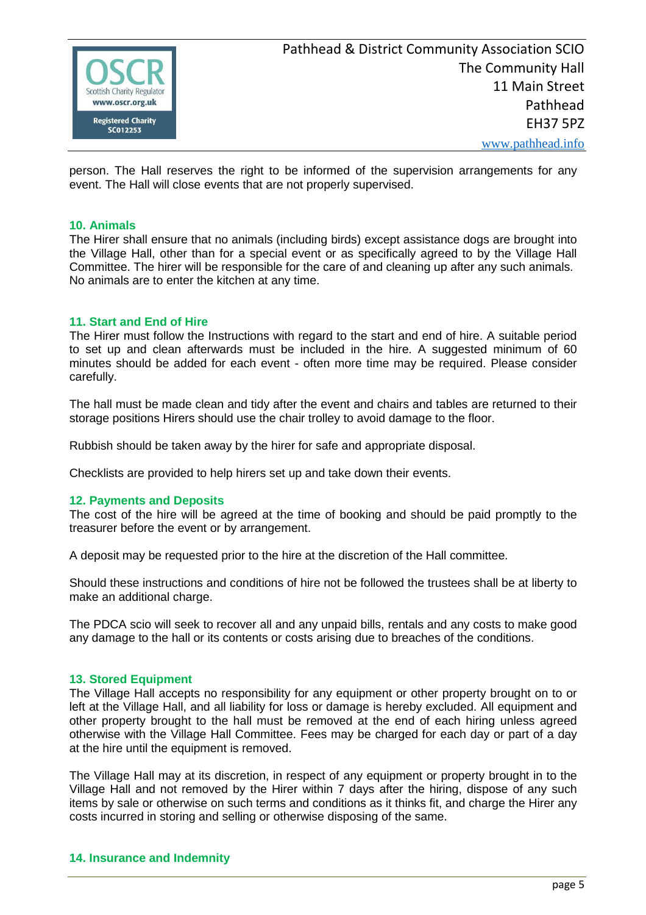

person. The Hall reserves the right to be informed of the supervision arrangements for any event. The Hall will close events that are not properly supervised.

#### **10. Animals**

The Hirer shall ensure that no animals (including birds) except assistance dogs are brought into the Village Hall, other than for a special event or as specifically agreed to by the Village Hall Committee. The hirer will be responsible for the care of and cleaning up after any such animals. No animals are to enter the kitchen at any time.

#### **11. Start and End of Hire**

The Hirer must follow the Instructions with regard to the start and end of hire. A suitable period to set up and clean afterwards must be included in the hire. A suggested minimum of 60 minutes should be added for each event - often more time may be required. Please consider carefully.

The hall must be made clean and tidy after the event and chairs and tables are returned to their storage positions Hirers should use the chair trolley to avoid damage to the floor.

Rubbish should be taken away by the hirer for safe and appropriate disposal.

Checklists are provided to help hirers set up and take down their events.

#### **12. Payments and Deposits**

The cost of the hire will be agreed at the time of booking and should be paid promptly to the treasurer before the event or by arrangement.

A deposit may be requested prior to the hire at the discretion of the Hall committee.

Should these instructions and conditions of hire not be followed the trustees shall be at liberty to make an additional charge.

The PDCA scio will seek to recover all and any unpaid bills, rentals and any costs to make good any damage to the hall or its contents or costs arising due to breaches of the conditions.

#### **13. Stored Equipment**

The Village Hall accepts no responsibility for any equipment or other property brought on to or left at the Village Hall, and all liability for loss or damage is hereby excluded. All equipment and other property brought to the hall must be removed at the end of each hiring unless agreed otherwise with the Village Hall Committee. Fees may be charged for each day or part of a day at the hire until the equipment is removed.

The Village Hall may at its discretion, in respect of any equipment or property brought in to the Village Hall and not removed by the Hirer within 7 days after the hiring, dispose of any such items by sale or otherwise on such terms and conditions as it thinks fit, and charge the Hirer any costs incurred in storing and selling or otherwise disposing of the same.

#### **14. Insurance and Indemnity**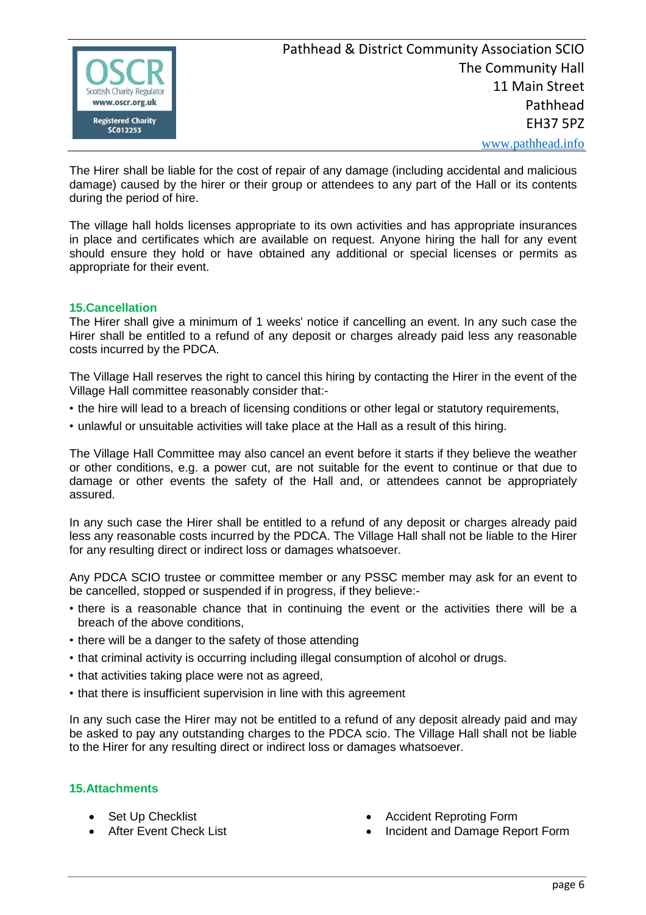

The Hirer shall be liable for the cost of repair of any damage (including accidental and malicious damage) caused by the hirer or their group or attendees to any part of the Hall or its contents during the period of hire.

The village hall holds licenses appropriate to its own activities and has appropriate insurances in place and certificates which are available on request. Anyone hiring the hall for any event should ensure they hold or have obtained any additional or special licenses or permits as appropriate for their event.

# **15.Cancellation**

The Hirer shall give a minimum of 1 weeks' notice if cancelling an event. In any such case the Hirer shall be entitled to a refund of any deposit or charges already paid less any reasonable costs incurred by the PDCA.

The Village Hall reserves the right to cancel this hiring by contacting the Hirer in the event of the Village Hall committee reasonably consider that:-

- the hire will lead to a breach of licensing conditions or other legal or statutory requirements,
- unlawful or unsuitable activities will take place at the Hall as a result of this hiring.

The Village Hall Committee may also cancel an event before it starts if they believe the weather or other conditions, e.g. a power cut, are not suitable for the event to continue or that due to damage or other events the safety of the Hall and, or attendees cannot be appropriately assured.

In any such case the Hirer shall be entitled to a refund of any deposit or charges already paid less any reasonable costs incurred by the PDCA. The Village Hall shall not be liable to the Hirer for any resulting direct or indirect loss or damages whatsoever.

Any PDCA SCIO trustee or committee member or any PSSC member may ask for an event to be cancelled, stopped or suspended if in progress, if they believe:-

- there is a reasonable chance that in continuing the event or the activities there will be a breach of the above conditions,
- there will be a danger to the safety of those attending
- that criminal activity is occurring including illegal consumption of alcohol or drugs.
- that activities taking place were not as agreed,
- that there is insufficient supervision in line with this agreement

In any such case the Hirer may not be entitled to a refund of any deposit already paid and may be asked to pay any outstanding charges to the PDCA scio. The Village Hall shall not be liable to the Hirer for any resulting direct or indirect loss or damages whatsoever.

## **15.Attachments**

- Set Up Checklist
- After Event Check List
- Accident Reproting Form
- Incident and Damage Report Form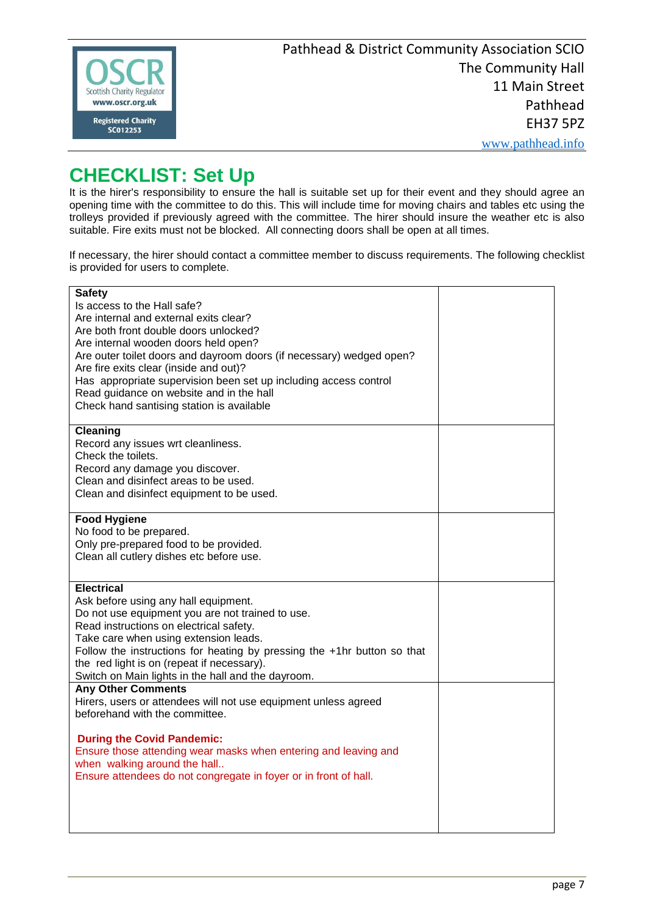

# **CHECKLIST: Set Up**

It is the hirer's responsibility to ensure the hall is suitable set up for their event and they should agree an opening time with the committee to do this. This will include time for moving chairs and tables etc using the trolleys provided if previously agreed with the committee. The hirer should insure the weather etc is also suitable. Fire exits must not be blocked. All connecting doors shall be open at all times.

If necessary, the hirer should contact a committee member to discuss requirements. The following checklist is provided for users to complete.

| <b>Safety</b>                                                           |  |
|-------------------------------------------------------------------------|--|
| Is access to the Hall safe?                                             |  |
| Are internal and external exits clear?                                  |  |
| Are both front double doors unlocked?                                   |  |
|                                                                         |  |
| Are internal wooden doors held open?                                    |  |
| Are outer toilet doors and dayroom doors (if necessary) wedged open?    |  |
| Are fire exits clear (inside and out)?                                  |  |
| Has appropriate supervision been set up including access control        |  |
| Read guidance on website and in the hall                                |  |
| Check hand santising station is available                               |  |
|                                                                         |  |
| <b>Cleaning</b>                                                         |  |
| Record any issues wrt cleanliness.                                      |  |
| Check the toilets.                                                      |  |
| Record any damage you discover.                                         |  |
| Clean and disinfect areas to be used.                                   |  |
| Clean and disinfect equipment to be used.                               |  |
|                                                                         |  |
| <b>Food Hygiene</b>                                                     |  |
| No food to be prepared.                                                 |  |
| Only pre-prepared food to be provided.                                  |  |
| Clean all cutlery dishes etc before use.                                |  |
|                                                                         |  |
|                                                                         |  |
| <b>Electrical</b>                                                       |  |
| Ask before using any hall equipment.                                    |  |
| Do not use equipment you are not trained to use.                        |  |
| Read instructions on electrical safety.                                 |  |
| Take care when using extension leads.                                   |  |
| Follow the instructions for heating by pressing the +1hr button so that |  |
| the red light is on (repeat if necessary).                              |  |
| Switch on Main lights in the hall and the dayroom.                      |  |
| <b>Any Other Comments</b>                                               |  |
| Hirers, users or attendees will not use equipment unless agreed         |  |
| beforehand with the committee.                                          |  |
|                                                                         |  |
| <b>During the Covid Pandemic:</b>                                       |  |
| Ensure those attending wear masks when entering and leaving and         |  |
|                                                                         |  |
| when walking around the hall                                            |  |
| Ensure attendees do not congregate in foyer or in front of hall.        |  |
|                                                                         |  |
|                                                                         |  |
|                                                                         |  |
|                                                                         |  |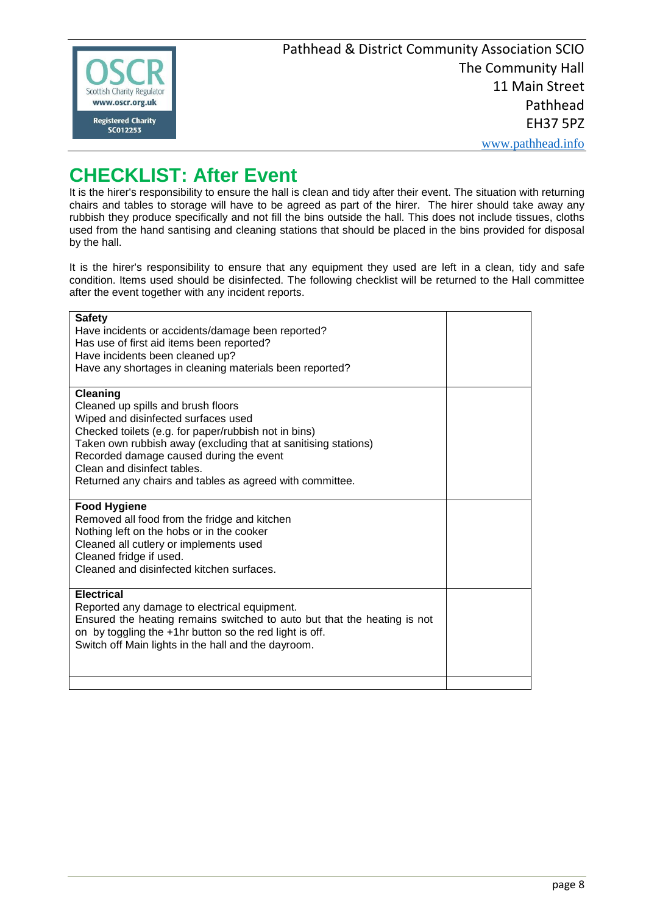

www.pathhead.info

# **CHECKLIST: After Event**

It is the hirer's responsibility to ensure the hall is clean and tidy after their event. The situation with returning chairs and tables to storage will have to be agreed as part of the hirer. The hirer should take away any rubbish they produce specifically and not fill the bins outside the hall. This does not include tissues, cloths used from the hand santising and cleaning stations that should be placed in the bins provided for disposal by the hall.

It is the hirer's responsibility to ensure that any equipment they used are left in a clean, tidy and safe condition. Items used should be disinfected. The following checklist will be returned to the Hall committee after the event together with any incident reports.

| <b>Safety</b><br>Have incidents or accidents/damage been reported?<br>Has use of first aid items been reported?<br>Have incidents been cleaned up?<br>Have any shortages in cleaning materials been reported?                                                                                                                                                |  |
|--------------------------------------------------------------------------------------------------------------------------------------------------------------------------------------------------------------------------------------------------------------------------------------------------------------------------------------------------------------|--|
| <b>Cleaning</b><br>Cleaned up spills and brush floors<br>Wiped and disinfected surfaces used<br>Checked toilets (e.g. for paper/rubbish not in bins)<br>Taken own rubbish away (excluding that at sanitising stations)<br>Recorded damage caused during the event<br>Clean and disinfect tables.<br>Returned any chairs and tables as agreed with committee. |  |
| <b>Food Hygiene</b><br>Removed all food from the fridge and kitchen<br>Nothing left on the hobs or in the cooker<br>Cleaned all cutlery or implements used<br>Cleaned fridge if used.<br>Cleaned and disinfected kitchen surfaces.                                                                                                                           |  |
| <b>Electrical</b><br>Reported any damage to electrical equipment.<br>Ensured the heating remains switched to auto but that the heating is not<br>on by toggling the +1hr button so the red light is off.<br>Switch off Main lights in the hall and the dayroom.                                                                                              |  |
|                                                                                                                                                                                                                                                                                                                                                              |  |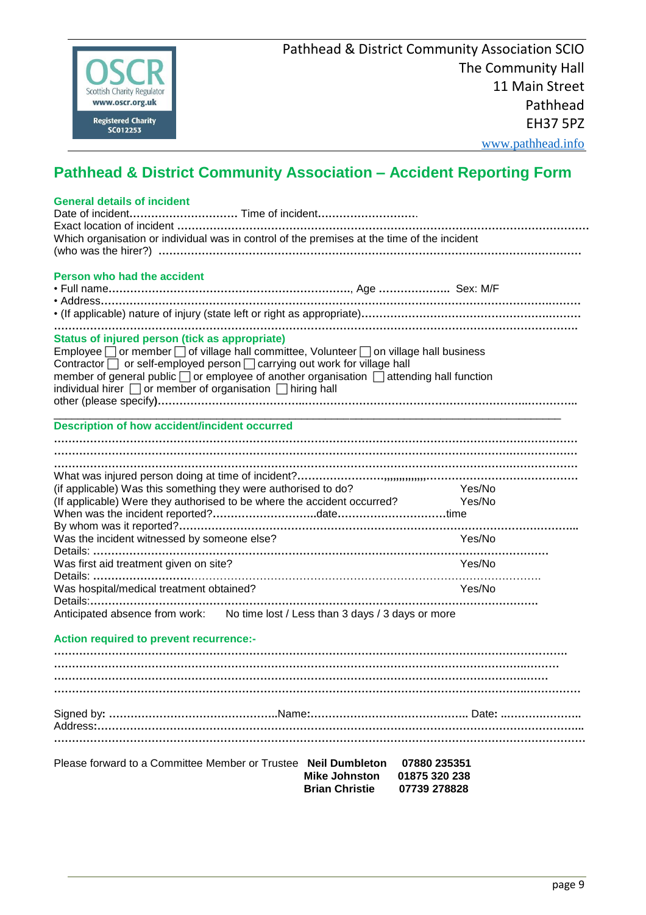

# **Pathhead & District Community Association – Accident Reporting Form**

| Please forward to a Committee Member or Trustee Neil Dumbleton<br>07880 235351              |
|---------------------------------------------------------------------------------------------|
|                                                                                             |
|                                                                                             |
|                                                                                             |
|                                                                                             |
|                                                                                             |
|                                                                                             |
|                                                                                             |
| <b>Action required to prevent recurrence:-</b>                                              |
| Anticipated absence from work: No time lost / Less than 3 days / 3 days or more             |
|                                                                                             |
| Was hospital/medical treatment obtained?<br>Yes/No                                          |
| Was first aid treatment given on site?<br>Yes/No                                            |
|                                                                                             |
| Was the incident witnessed by someone else?<br>Yes/No                                       |
|                                                                                             |
|                                                                                             |
| Yes/No                                                                                      |
| (if applicable) Was this something they were authorised to do?<br>Yes/No                    |
|                                                                                             |
|                                                                                             |
|                                                                                             |
| <b>Description of how accident/incident occurred</b>                                        |
|                                                                                             |
| individual hirer $\Box$ or member of organisation $\Box$ hiring hall                        |
| member of general public □ or employee of another organisation □ attending hall function    |
| Contractor or self-employed person carrying out work for village hall                       |
| Employee or member of village hall committee, Volunteer on village hall business            |
| Status of injured person (tick as appropriate)                                              |
|                                                                                             |
|                                                                                             |
|                                                                                             |
| Person who had the accident                                                                 |
|                                                                                             |
| Which organisation or individual was in control of the premises at the time of the incident |
|                                                                                             |
|                                                                                             |
| <b>General details of incident</b>                                                          |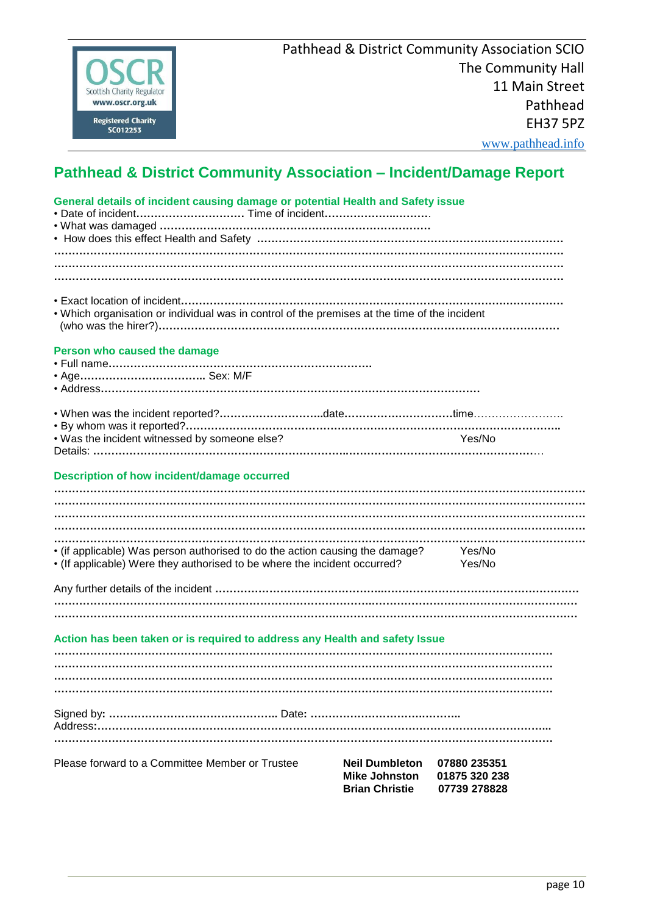

|  |  |  |  | Person who caused the damage |
|--|--|--|--|------------------------------|
|--|--|--|--|------------------------------|

- Age**……………………………..** Sex: M/F
- Address**……………………………………………………………………………………………**

| . Was the incident witnessed by someone else? | Yes/No |
|-----------------------------------------------|--------|
|                                               |        |

#### **Description of how incident/damage occurred**

| • (if applicable) Was person authorised to do the action causing the damage?<br>• (If applicable) Were they authorised to be where the incident occurred? | Yes/No<br>Yes/No |
|-----------------------------------------------------------------------------------------------------------------------------------------------------------|------------------|
|                                                                                                                                                           |                  |
|                                                                                                                                                           |                  |
| Action has been taken or is required to address any Health and safety Issue                                                                               |                  |
|                                                                                                                                                           |                  |
|                                                                                                                                                           |                  |
|                                                                                                                                                           |                  |

Address**:……………………………………………………………………………………………………………... …………………………………………………………………………………………………………………………**

| Please forward to a Committee Member or Trustee | <b>Neil Dumbleton 07880 235351</b> |               |
|-------------------------------------------------|------------------------------------|---------------|
|                                                 | Mike Johnston                      | 01875 320 238 |
|                                                 | <b>Brian Christie</b>              | 07739 278828  |